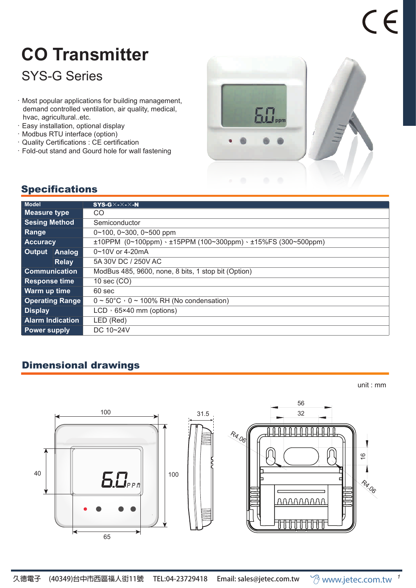# **CO Transmitter**

## SYS-G Series

- .Most popular applications for building management, demand controlled ventilation, air quality, medical, hvac, agricultural..etc.
- .Easy installation, optional display
- .Modbus RTU interface (option)
- .Quality Certifications : CE certification
- .Fold-out stand and Gourd hole for wall fastening



#### **Specifications**

| <b>Model</b>            |              | $SYS-G \times$ - $\times$ - $\times$ -N                                 |
|-------------------------|--------------|-------------------------------------------------------------------------|
| <b>Measure type</b>     |              | CO.                                                                     |
| <b>Sesing Method</b>    |              | Semiconductor                                                           |
| <b>Range</b>            |              | $0 \sim 100$ , $0 \sim 300$ , $0 \sim 500$ ppm                          |
| <b>Accuracy</b>         |              | $±10$ PPM (0~100ppm) · $±15$ PPM (100~300ppm) · $±15\%$ FS (300~500ppm) |
| Output                  | Analog       | $0 \sim 10V$ or 4-20mA                                                  |
|                         | <b>Relay</b> | 5A 30V DC / 250V AC                                                     |
| <b>Communication</b>    |              | ModBus 485, 9600, none, 8 bits, 1 stop bit (Option)                     |
| <b>Response time</b>    |              | 10 sec (CO)                                                             |
| Warm up time            |              | 60 sec                                                                  |
| <b>Operating Range</b>  |              | $0 \sim 50^{\circ}$ C $\cdot$ 0 ~ 100% RH (No condensation)             |
| <b>Display</b>          |              | $LCD \cdot 65 \times 40$ mm (options)                                   |
| <b>Alarm Indication</b> |              | LED (Red)                                                               |
| <b>Power supply</b>     |              | DC 10~24V                                                               |

### Dimensional drawings

unit : mm